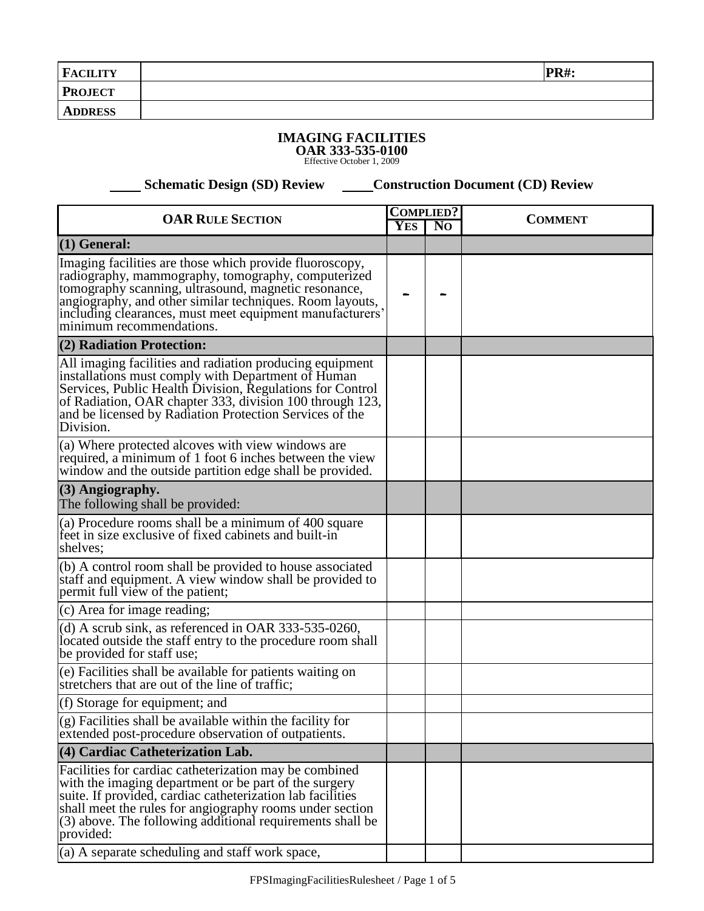| <b>FACILITY</b> | <b>PR#:</b> |
|-----------------|-------------|
| <b>PROJECT</b>  |             |
| <b>ADDRESS</b>  |             |

## **IMAGING FACILITIES**

**OAR 333-535-0100** Effective October 1, 2009

**Schematic Design (SD) Review Construction Document (CD) Review** 

| <b>OAR RULE SECTION</b>                                                                                                                                                                                                                                                                                                   |  | <b>COMPLIED?</b>             | <b>COMMENT</b> |
|---------------------------------------------------------------------------------------------------------------------------------------------------------------------------------------------------------------------------------------------------------------------------------------------------------------------------|--|------------------------------|----------------|
|                                                                                                                                                                                                                                                                                                                           |  | <b>YES</b><br>N <sub>O</sub> |                |
| $(1)$ General:                                                                                                                                                                                                                                                                                                            |  |                              |                |
| Imaging facilities are those which provide fluoroscopy,<br>radiography, mammography, tomography, computerized<br>tomography scanning, ultrasound, magnetic resonance,<br>angiography, and other similar techniques. Room layouts,<br>including clearances, must meet equipment manufacturers'<br>minimum recommendations. |  |                              |                |
| (2) Radiation Protection:                                                                                                                                                                                                                                                                                                 |  |                              |                |
| All imaging facilities and radiation producing equipment<br>installations must comply with Department of Human<br>Services, Public Health Division, Regulations for Control<br>of Radiation, OAR chapter 333, division 100 through 123,<br>and be licensed by Radiation Protection Services of the<br>Division.           |  |                              |                |
| (a) Where protected alcoves with view windows are<br>required, a minimum of 1 foot 6 inches between the view<br>window and the outside partition edge shall be provided.                                                                                                                                                  |  |                              |                |
| (3) Angiography.<br>The following shall be provided:                                                                                                                                                                                                                                                                      |  |                              |                |
| (a) Procedure rooms shall be a minimum of 400 square<br>feet in size exclusive of fixed cabinets and built-in<br>shelves;                                                                                                                                                                                                 |  |                              |                |
| (b) A control room shall be provided to house associated<br>staff and equipment. A view window shall be provided to<br>permit full view of the patient;                                                                                                                                                                   |  |                              |                |
| (c) Area for image reading;                                                                                                                                                                                                                                                                                               |  |                              |                |
| (d) A scrub sink, as referenced in OAR 333-535-0260,<br>located outside the staff entry to the procedure room shall<br>be provided for staff use;                                                                                                                                                                         |  |                              |                |
| (e) Facilities shall be available for patients waiting on<br>stretchers that are out of the line of traffic;                                                                                                                                                                                                              |  |                              |                |
| (f) Storage for equipment; and                                                                                                                                                                                                                                                                                            |  |                              |                |
| (g) Facilities shall be available within the facility for<br>extended post-procedure observation of outpatients.                                                                                                                                                                                                          |  |                              |                |
| (4) Cardiac Catheterization Lab.                                                                                                                                                                                                                                                                                          |  |                              |                |
| Facilities for cardiac catheterization may be combined<br>with the imaging department or be part of the surgery<br>suite. If provided, cardiac catheterization lab facilities<br>shall meet the rules for angiography rooms under section<br>(3) above. The following additional requirements shall be<br>provided:       |  |                              |                |
| (a) A separate scheduling and staff work space,                                                                                                                                                                                                                                                                           |  |                              |                |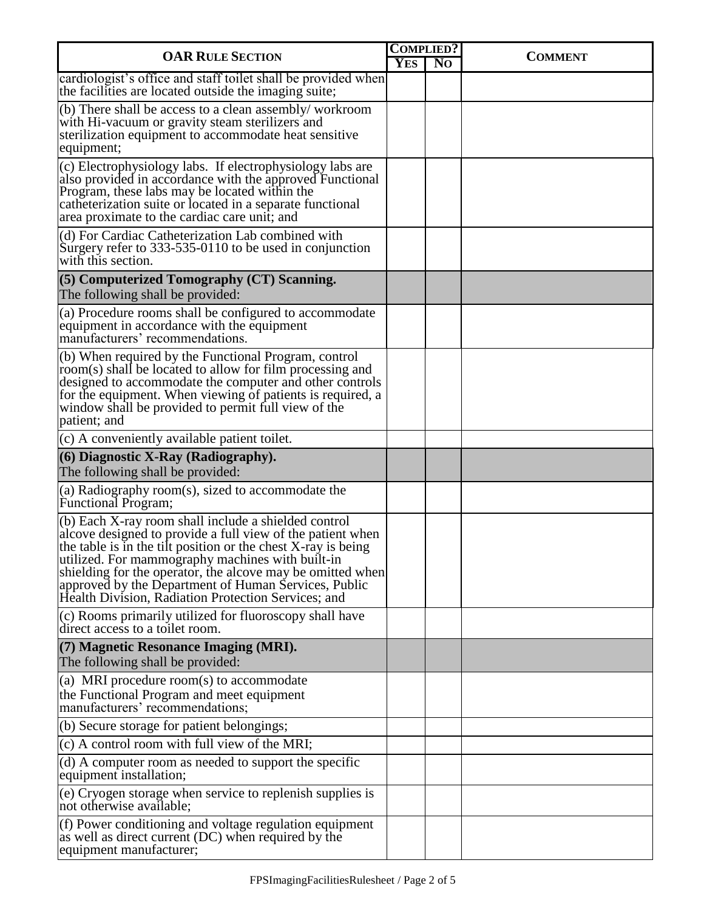| <b>OAR RULE SECTION</b>                                                                                                                                                                                                                                                                                                                                                                                                |  | <b>COMPLIED?</b> | <b>COMMENT</b> |
|------------------------------------------------------------------------------------------------------------------------------------------------------------------------------------------------------------------------------------------------------------------------------------------------------------------------------------------------------------------------------------------------------------------------|--|------------------|----------------|
|                                                                                                                                                                                                                                                                                                                                                                                                                        |  | N <sub>O</sub>   |                |
| cardiologist's office and staff toilet shall be provided when<br>the facilities are located outside the imaging suite;                                                                                                                                                                                                                                                                                                 |  |                  |                |
| (b) There shall be access to a clean assembly/workroom<br>with Hi-vacuum or gravity steam sterilizers and<br>sterilization equipment to accommodate heat sensitive<br>equipment;                                                                                                                                                                                                                                       |  |                  |                |
| (c) Electrophysiology labs. If electrophysiology labs are<br>also provided in accordance with the approved Functional<br>Program, these labs may be located within the<br>catheterization suite or located in a separate functional<br>area proximate to the cardiac care unit; and                                                                                                                                    |  |                  |                |
| (d) For Cardiac Catheterization Lab combined with<br>Surgery refer to 333-535-0110 to be used in conjunction<br>with this section.                                                                                                                                                                                                                                                                                     |  |                  |                |
| (5) Computerized Tomography (CT) Scanning.<br>The following shall be provided:                                                                                                                                                                                                                                                                                                                                         |  |                  |                |
| (a) Procedure rooms shall be configured to accommodate<br>equipment in accordance with the equipment<br>manufacturers' recommendations.                                                                                                                                                                                                                                                                                |  |                  |                |
| (b) When required by the Functional Program, control<br>room(s) shall be located to allow for film processing and<br>designed to accommodate the computer and other controls<br>for the equipment. When viewing of patients is required, a<br>window shall be provided to permit full view of the<br>patient; and                                                                                                      |  |                  |                |
| (c) A conveniently available patient toilet.                                                                                                                                                                                                                                                                                                                                                                           |  |                  |                |
| $(6)$ Diagnostic X-Ray (Radiography).<br>The following shall be provided:                                                                                                                                                                                                                                                                                                                                              |  |                  |                |
| (a) Radiography room(s), sized to accommodate the<br>Functional Program;                                                                                                                                                                                                                                                                                                                                               |  |                  |                |
| $(6)$ Each X-ray room shall include a shielded control<br>alcove designed to provide a full view of the patient when<br>the table is in the tilt position or the chest X-ray is being<br>utilized. For mammography machines with built-in<br>shielding for the operator, the alcove may be omitted when<br>approved by the Department of Human Services, Public<br>Health Division, Radiation Protection Services; and |  |                  |                |
| (c) Rooms primarily utilized for fluoroscopy shall have<br>direct access to a toilet room.                                                                                                                                                                                                                                                                                                                             |  |                  |                |
| (7) Magnetic Resonance Imaging (MRI).<br>The following shall be provided:                                                                                                                                                                                                                                                                                                                                              |  |                  |                |
| (a) MRI procedure room(s) to accommodate<br>the Functional Program and meet equipment<br>manufacturers' recommendations;                                                                                                                                                                                                                                                                                               |  |                  |                |
| (b) Secure storage for patient belongings;                                                                                                                                                                                                                                                                                                                                                                             |  |                  |                |
| $(c)$ A control room with full view of the MRI;                                                                                                                                                                                                                                                                                                                                                                        |  |                  |                |
| (d) A computer room as needed to support the specific<br>equipment installation;                                                                                                                                                                                                                                                                                                                                       |  |                  |                |
| (e) Cryogen storage when service to replenish supplies is<br>not otherwise available;                                                                                                                                                                                                                                                                                                                                  |  |                  |                |
| $(f)$ Power conditioning and voltage regulation equipment<br>as well as direct current (DC) when required by the<br>equipment manufacturer;                                                                                                                                                                                                                                                                            |  |                  |                |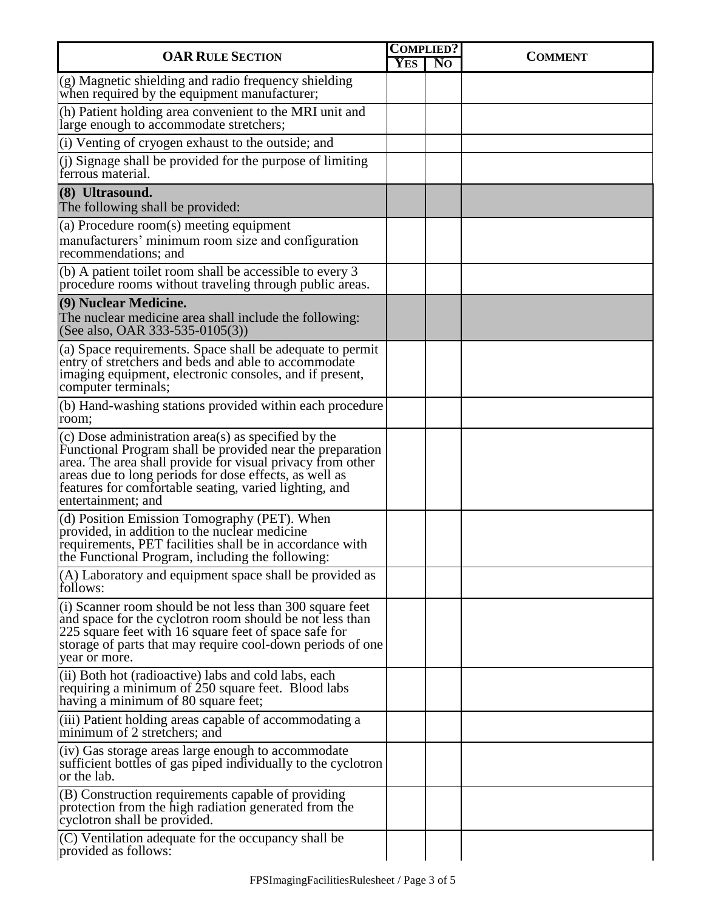| <b>OAR RULE SECTION</b>                                                                                                                                                                                                                                                                                                  |            | <b>COMPLIED?</b> | <b>COMMENT</b> |  |
|--------------------------------------------------------------------------------------------------------------------------------------------------------------------------------------------------------------------------------------------------------------------------------------------------------------------------|------------|------------------|----------------|--|
|                                                                                                                                                                                                                                                                                                                          | <b>YES</b> | N <sub>O</sub>   |                |  |
| $(g)$ Magnetic shielding and radio frequency shielding<br>when required by the equipment manufacturer;                                                                                                                                                                                                                   |            |                  |                |  |
| (h) Patient holding area convenient to the MRI unit and<br>large enough to accommodate stretchers;                                                                                                                                                                                                                       |            |                  |                |  |
| (i) Venting of cryogen exhaust to the outside; and                                                                                                                                                                                                                                                                       |            |                  |                |  |
| (j) Signage shall be provided for the purpose of limiting<br>ferrous material.                                                                                                                                                                                                                                           |            |                  |                |  |
| (8) Ultrasound.<br>The following shall be provided:                                                                                                                                                                                                                                                                      |            |                  |                |  |
| $(a)$ Procedure room $(s)$ meeting equipment<br>manufacturers' minimum room size and configuration<br>recommendations; and                                                                                                                                                                                               |            |                  |                |  |
| (b) A patient toilet room shall be accessible to every 3<br>procedure rooms without traveling through public areas.                                                                                                                                                                                                      |            |                  |                |  |
| (9) Nuclear Medicine.<br>The nuclear medicine area shall include the following:<br>(See also, OAR 333-535-0105(3))                                                                                                                                                                                                       |            |                  |                |  |
| (a) Space requirements. Space shall be adequate to permit<br>entry of stretchers and beds and able to accommodate<br>imaging equipment, electronic consoles, and if present,<br>computer terminals;                                                                                                                      |            |                  |                |  |
| (b) Hand-washing stations provided within each procedure<br>room;                                                                                                                                                                                                                                                        |            |                  |                |  |
| (c) Dose administration area(s) as specified by the<br>Functional Program shall be provided near the preparation<br>area. The area shall provide for visual privacy from other<br>areas due to long periods for dose effects, as well as<br>features for comfortable seating, varied lighting, and<br>entertainment; and |            |                  |                |  |
| (d) Position Emission Tomography (PET). When<br>provided, in addition to the nuclear medicine<br>requirements, PET facilities shall be in accordance with<br>the Functional Program, including the following:                                                                                                            |            |                  |                |  |
| $(A)$ Laboratory and equipment space shall be provided as<br>follows:                                                                                                                                                                                                                                                    |            |                  |                |  |
| $(i)$ Scanner room should be not less than 300 square feet<br>and space for the cyclotron room should be not less than<br>225 square feet with 16 square feet of space safe for<br>storage of parts that may require cool-down periods of one<br>year or more.                                                           |            |                  |                |  |
| (ii) Both hot (radioactive) labs and cold labs, each<br>requiring a minimum of 250 square feet. Blood labs<br>having a minimum of 80 square feet;                                                                                                                                                                        |            |                  |                |  |
| (iii) Patient holding areas capable of accommodating a<br>minimum of 2 stretchers; and                                                                                                                                                                                                                                   |            |                  |                |  |
| (iv) Gas storage areas large enough to accommodate<br>sufficient bottles of gas piped individually to the cyclotron<br>or the lab.                                                                                                                                                                                       |            |                  |                |  |
| $(B)$ Construction requirements capable of providing<br>protection from the high radiation generated from the<br>cyclotron shall be provided.                                                                                                                                                                            |            |                  |                |  |
| $(C)$ Ventilation adequate for the occupancy shall be<br>provided as follows:                                                                                                                                                                                                                                            |            |                  |                |  |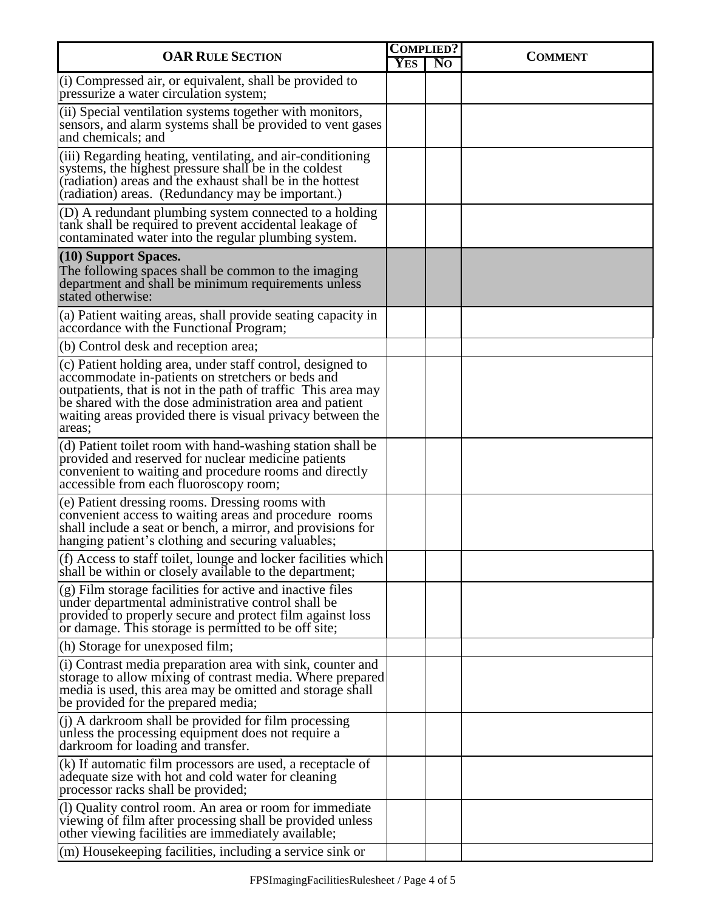| <b>OAR RULE SECTION</b>                                                                                                                                                                                                                                                                                             |  | <b>COMPLIED?</b> | <b>COMMENT</b> |
|---------------------------------------------------------------------------------------------------------------------------------------------------------------------------------------------------------------------------------------------------------------------------------------------------------------------|--|------------------|----------------|
|                                                                                                                                                                                                                                                                                                                     |  | N <sub>O</sub>   |                |
| (i) Compressed air, or equivalent, shall be provided to<br>pressurize a water circulation system;                                                                                                                                                                                                                   |  |                  |                |
| (ii) Special ventilation systems together with monitors,<br>sensors, and alarm systems shall be provided to vent gases<br>and chemicals; and                                                                                                                                                                        |  |                  |                |
| (iii) Regarding heating, ventilating, and air-conditioning<br>systems, the highest pressure shall be in the coldest<br>(radiation) areas and the exhaust shall be in the hottest<br>(radiation) areas. (Redundancy may be important.)                                                                               |  |                  |                |
| $(D)$ A redundant plumbing system connected to a holding<br>tank shall be required to prevent accidental leakage of<br>contaminated water into the regular plumbing system.                                                                                                                                         |  |                  |                |
| $(10)$ Support Spaces.<br>The following spaces shall be common to the imaging<br>department and shall be minimum requirements unless<br>stated otherwise:                                                                                                                                                           |  |                  |                |
| (a) Patient waiting areas, shall provide seating capacity in<br>accordance with the Functional Program;                                                                                                                                                                                                             |  |                  |                |
| (b) Control desk and reception area;                                                                                                                                                                                                                                                                                |  |                  |                |
| (c) Patient holding area, under staff control, designed to<br>accommodate in-patients on stretchers or beds and<br>outpatients, that is not in the path of traffic This area may<br>be shared with the dose administration area and patient<br>waiting areas provided there is visual privacy between the<br>areas; |  |                  |                |
| (d) Patient toilet room with hand-washing station shall be<br>provided and reserved for nuclear medicine patients<br>convenient to waiting and procedure rooms and directly<br>accessible from each fluoroscopy room;                                                                                               |  |                  |                |
| (e) Patient dressing rooms. Dressing rooms with<br>convenient access to waiting areas and procedure rooms<br>shall include a seat or bench, a mirror, and provisions for<br>hanging patient's clothing and securing valuables;                                                                                      |  |                  |                |
| (f) Access to staff toilet, lounge and locker facilities which<br>shall be within or closely available to the department;                                                                                                                                                                                           |  |                  |                |
| $(g)$ Film storage facilities for active and inactive files<br>under departmental administrative control shall be<br>provided to properly secure and protect film against loss<br>or damage. This storage is permitted to be off site;                                                                              |  |                  |                |
| (h) Storage for unexposed film;                                                                                                                                                                                                                                                                                     |  |                  |                |
| (i) Contrast media preparation area with sink, counter and<br>storage to allow mixing of contrast media. Where prepared<br>media is used, this area may be omitted and storage shall<br>be provided for the prepared media;                                                                                         |  |                  |                |
| $(1)$ A darkroom shall be provided for film processing<br>unless the processing equipment does not require a<br>darkroom for loading and transfer.                                                                                                                                                                  |  |                  |                |
| $(k)$ If automatic film processors are used, a receptacle of<br>adequate size with hot and cold water for cleaning<br>processor racks shall be provided;                                                                                                                                                            |  |                  |                |
| (1) Quality control room. An area or room for immediate<br>viewing of film after processing shall be provided unless<br>other viewing facilities are immediately available;                                                                                                                                         |  |                  |                |
| $\vert$ (m) Housekeeping facilities, including a service sink or                                                                                                                                                                                                                                                    |  |                  |                |